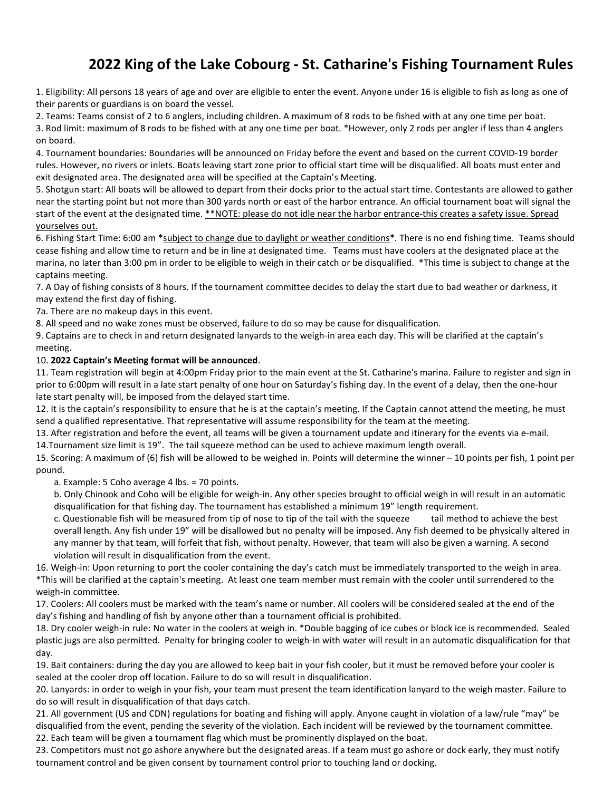## 2022 King of the Lake Cobourg - St. Catharine's Fishing Tournament Rules

1. Eligibility: All persons 18 years of age and over are eligible to enter the event. Anyone under 16 is eligible to fish as long as one of their parents or guardians is on board the vessel.

2. Teams: Teams consist of 2 to 6 anglers, including children. A maximum of 8 rods to be fished with at any one time per boat. 3. Rod limit: maximum of 8 rods to be fished with at any one time per boat. \*However, only 2 rods per angler if less than 4 anglers on board.

4. Tournament boundaries: Boundaries will be announced on Friday before the event and based on the current COVID-19 border rules. However, no rivers or inlets. Boats leaving start zone prior to official start time will be disqualified. All boats must enter and exit designated area. The designated area will be specified at the Captain's Meeting.

5. Shotgun start: All boats will be allowed to depart from their docks prior to the actual start time. Contestants are allowed to gather near the starting point but not more than 300 yards north or east of the harbor entrance. An official tournament boat will signal the start of the event at the designated time. \*\*NOTE: please do not idle near the harbor entrance-this creates a safety issue. Spread yourselves out.

6. Fishing Start Time: 6:00 am \*subject to change due to daylight or weather conditions\*. There is no end fishing time. Teams should cease fishing and allow time to return and be in line at designated time. Teams must have coolers at the designated place at the marina, no later than 3:00 pm in order to be eligible to weigh in their catch or be disqualified. \*This time is subject to change at the captains meeting.

7. A Day of fishing consists of 8 hours. If the tournament committee decides to delay the start due to bad weather or darkness, it may extend the first day of fishing.

7a. There are no makeup days in this event.

8. All speed and no wake zones must be observed, failure to do so may be cause for disqualification.

9. Captains are to check in and return designated lanyards to the weigh-in area each day. This will be clarified at the captain's meeting.

## 10. 2022 Captain's Meeting format will be announced.

11. Team registration will begin at 4:00pm Friday prior to the main event at the St. Catharine's marina. Failure to register and sign in prior to 6:00pm will result in a late start penalty of one hour on Saturday's fishing day. In the event of a delay, then the one-hour late start penalty will, be imposed from the delayed start time.

12. It is the captain's responsibility to ensure that he is at the captain's meeting. If the Captain cannot attend the meeting, he must send a qualified representative. That representative will assume responsibility for the team at the meeting.

13. After registration and before the event, all teams will be given a tournament update and itinerary for the events via e-mail. 14.Tournament size limit is 19". The tail squeeze method can be used to achieve maximum length overall.

15. Scoring: A maximum of (6) fish will be allowed to be weighed in. Points will determine the winner – 10 points per fish, 1 point per pound.

a. Example: 5 Coho average 4 lbs. = 70 points.

b. Only Chinook and Coho will be eligible for weigh-in. Any other species brought to official weigh in will result in an automatic disqualification for that fishing day. The tournament has established a minimum 19" length requirement.

c. Questionable fish will be measured from tip of nose to tip of the tail with the squeeze tail method to achieve the best overall length. Any fish under 19" will be disallowed but no penalty will be imposed. Any fish deemed to be physically altered in any manner by that team, will forfeit that fish, without penalty. However, that team will also be given a warning. A second violation will result in disqualification from the event.

16. Weigh-in: Upon returning to port the cooler containing the day's catch must be immediately transported to the weigh in area. \*This will be clarified at the captain's meeting. At least one team member must remain with the cooler until surrendered to the weigh-in committee.

17. Coolers: All coolers must be marked with the team's name or number. All coolers will be considered sealed at the end of the day's fishing and handling of fish by anyone other than a tournament official is prohibited.

18. Dry cooler weigh-in rule: No water in the coolers at weigh in. \*Double bagging of ice cubes or block ice is recommended. Sealed plastic jugs are also permitted. Penalty for bringing cooler to weigh-in with water will result in an automatic disqualification for that day.

19. Bait containers: during the day you are allowed to keep bait in your fish cooler, but it must be removed before your cooler is sealed at the cooler drop off location. Failure to do so will result in disqualification.

20. Lanyards: in order to weigh in your fish, your team must present the team identification lanyard to the weigh master. Failure to do so will result in disqualification of that days catch.

21. All government (US and CDN) regulations for boating and fishing will apply. Anyone caught in violation of a law/rule "may" be disqualified from the event, pending the severity of the violation. Each incident will be reviewed by the tournament committee. 22. Each team will be given a tournament flag which must be prominently displayed on the boat.

23. Competitors must not go ashore anywhere but the designated areas. If a team must go ashore or dock early, they must notify tournament control and be given consent by tournament control prior to touching land or docking.